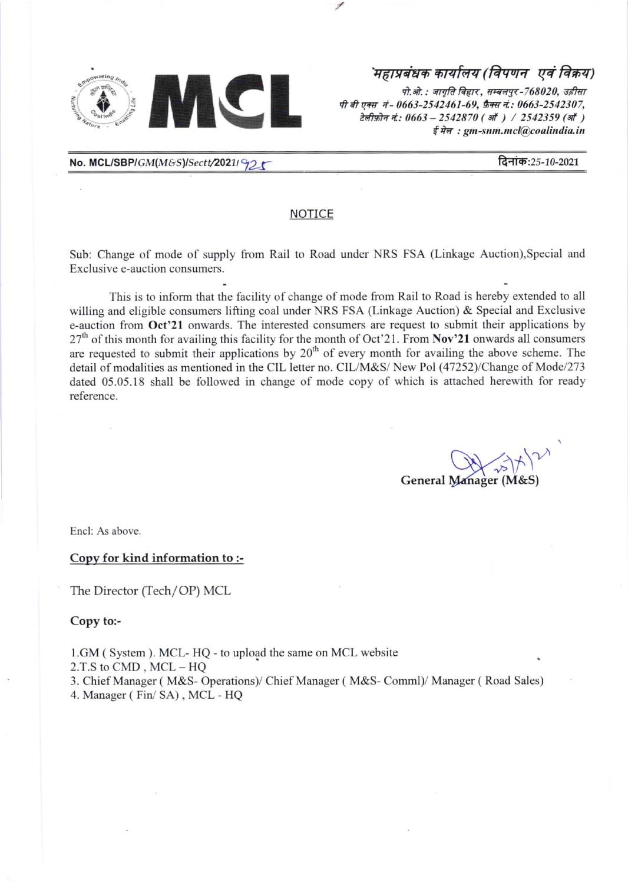

पी बी एक्स नं - 0663-2542461-69, फ़ैक्स नं.: 0663-2542307, टेलीफ़ोन नं: 0663 - 2542870 ( ऑ ) / 2542359 (ऑ )  $\frac{2}{3}$   $\frac{2}{3}$   $\frac{2}{3}$   $\frac{2}{3}$   $\frac{2}{3}$   $\frac{2}{3}$   $\frac{2}{3}$   $\frac{2}{3}$   $\frac{2}{3}$   $\frac{2}{3}$   $\frac{2}{3}$   $\frac{2}{3}$   $\frac{2}{3}$   $\frac{2}{3}$   $\frac{2}{3}$   $\frac{2}{3}$   $\frac{2}{3}$   $\frac{2}{3}$   $\frac{2}{3}$   $\frac{2}{3}$   $\frac{2}{3}$   $\frac{2}{3}$ 

No. MCL/SBP/GM(M&S)/Sectt/2021/92 t  $\blacksquare$ 

### NOTICE

Sub: Change of mode of supply from Rail to Road under NRS FSA (Linkage Auction),Special and Exclusive e-auction consumers.

This is to inform that the facility of change of mode from Rail to Road is hereby extended to all willing and eligible consumers lifting coal under NRS FSA (Linkage Auction) & Special and Exclusive e-auction from Oct'21 onwards. The interested consumers are request to submit their applications by 27<sup>th</sup> of this month for availing this facility for the month of Oct'21. From Nov'21 onwards all consumers are requested to submit their applications by  $20<sup>th</sup>$  of every month for availing the above scheme. The detail of modalities as mentioned in the CIL letter no. CIL/M&S/ New Pol (47252)/Change of Mode/273 dated 05.05.18 shall be followed in change of mode copy of which is attached herewith for ready reference.

General Manager  $\gamma$  $(M&S)$  $\frac{1}{k}$ 

Encl: As above.

Copy for kind information to :-

The Director (Tech/OP) MCL

Copy to:-

l.GM ( System ). MCL- HQ - to upload the same on MCL website

2.T.S to CMD , MCL - HQ

3. Chief Manager ( M&S- Operations)/ Chief Manager ( M&S- Comml)/ Manager ( Road Sales)

4. Manager ( Fir/ SA) , MCL - HQ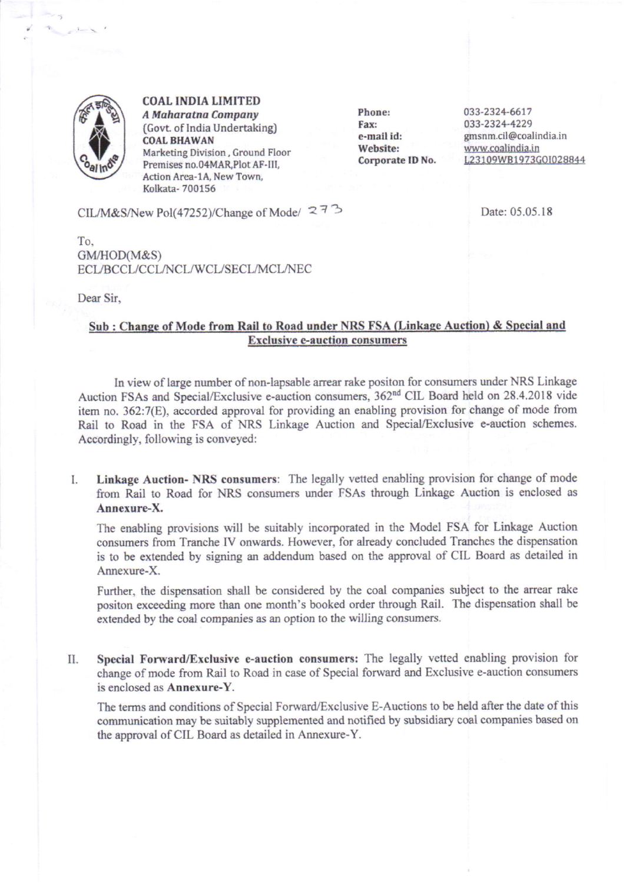

COAL INDIA LIMITED A Maharatna Company (Govt. of India Undertaking) **COAL BHAWAN** Marketing Division, Ground Floor Premises no.04MAR, Plot AF-III, Action Area-1A, New Town, Kolkata- 700156

Phone: Far: e-mall id: Website: Corporate ID No. 033-232+6617 033-2321-1229 gmsnm.cil@coalindia.in www.coalindia.in L23109WB1973GOI028844

CIL/M&S/New Pol(47252)/Change of Mode/  $273$  Date: 05.05.18

To. GM/HOD(M&S) ECL/BCCL/CCL/NCL/WCL/SECL/MCL/NEC

Dear Sir.

## Sub : Change of Mode from Rail to Road under NRS FSA (Linkage Auction) & Special and **Exclusive e-auction consumers**

In view of large number of non-lapsable arrear rake positon for consumers under NRS Linkage Auction FSAs and Special/Exclusive e-auction consumers, 362<sup>nd</sup> CIL Board held on 28.4.2018 vide item no. 362:7(E), accorded approval for providing an enabling provision for change of mode from Rail to Road in the FSA of NRS Linkage Auction and Special/Exclusive e-auction schemes. Accordingly, following is conveyed:

Linkage Auction- NRS consumers: The legally vetted enabling provision for change of mode L from Rail to Road for NRS consumers under FSAs through Linkage Auction is enclosed as Annexure-X.

The enabling provisions will be suitably incorporated in the Model FSA for Linkage Auction consumers from Tranche IV onwards. However, for already concluded Tranches the dispensation is to be extended by signing an addendum based on the approval of CIL Board as detailed in Annexure-X.

Further, the dispensation shall be considered by the coal companies subject to the arrear rake positon exceeding more than one month's booked order through Rail. The dispensation shall be extended by the coal companies as an oprion to the willing consumers.

II. Special Forward/Exclusive e-auction consumers: The legally vetted enabling provision for change of mode from Rail to Road in case of Special forward and Exclusive e-auction consumers is enclosed as Annexure-Y.

The terms and conditions of Special Forward/Exclusive E-Auctions to be held after the date of this communication may be suitably supplemented and notified by subsidiary coal companies based on the approval of CIL Board as detailed in Annexure-Y.